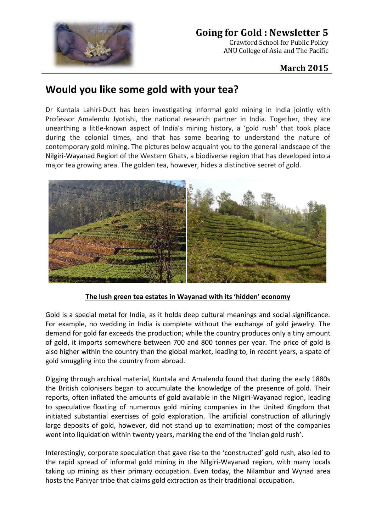

## **Going for Gold : Newsletter 5**

Crawford School for Public Policy ANU College of Asia and The Pacific

## **March 2015**

## **Would you like some gold with your tea?**

Dr Kuntala Lahiri-Dutt has been investigating informal gold mining in India jointly with Professor Amalendu Jyotishi, the national research partner in India. Together, they are unearthing a little-known aspect of India's mining history, a 'gold rush' that took place during the colonial times, and that has some bearing to understand the nature of contemporary gold mining. The pictures below acquaint you to the general landscape of the Nilgiri-Wayanad Region of the Western Ghats, a biodiverse region that has developed into a major tea growing area. The golden tea, however, hides a distinctive secret of gold.



**The lush green tea estates in Wayanad with its 'hidden' economy**

Gold is a special metal for India, as it holds deep cultural meanings and social significance. For example, no wedding in India is complete without the exchange of gold jewelry. The demand for gold far exceeds the production; while the country produces only a tiny amount of gold, it imports somewhere between 700 and 800 tonnes per year. The price of gold is also higher within the country than the global market, leading to, in recent years, a spate of gold smuggling into the country from abroad.

Digging through archival material, Kuntala and Amalendu found that during the early 1880s the British colonisers began to accumulate the knowledge of the presence of gold. Their reports, often inflated the amounts of gold available in the Nilgiri-Wayanad region, leading to speculative floating of numerous gold mining companies in the United Kingdom that initiated substantial exercises of gold exploration. The artificial construction of alluringly large deposits of gold, however, did not stand up to examination; most of the companies went into liquidation within twenty years, marking the end of the 'Indian gold rush'.

Interestingly, corporate speculation that gave rise to the 'constructed' gold rush, also led to the rapid spread of informal gold mining in the Nilgiri-Wayanad region, with many locals taking up mining as their primary occupation. Even today, the Nilambur and Wynad area hosts the Paniyar tribe that claims gold extraction as their traditional occupation.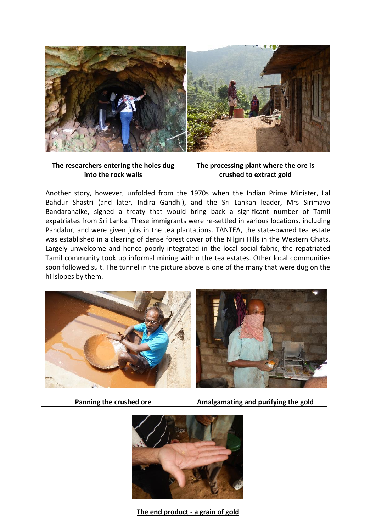

**The researchers entering the holes dug into the rock walls**

**The processing plant where the ore is crushed to extract gold**

Another story, however, unfolded from the 1970s when the Indian Prime Minister, Lal Bahdur Shastri (and later, Indira Gandhi), and the Sri Lankan leader, Mrs Sirimavo Bandaranaike, signed a treaty that would bring back a significant number of Tamil expatriates from Sri Lanka. These immigrants were re-settled in various locations, including Pandalur, and were given jobs in the tea plantations. TANTEA, the state-owned tea estate was established in a clearing of dense forest cover of the Nilgiri Hills in the Western Ghats. Largely unwelcome and hence poorly integrated in the local social fabric, the repatriated Tamil community took up informal mining within the tea estates. Other local communities soon followed suit. The tunnel in the picture above is one of the many that were dug on the hillslopes by them.



**Panning the crushed ore Amalgamating and purifying the gold**



**The end product - a grain of gold**